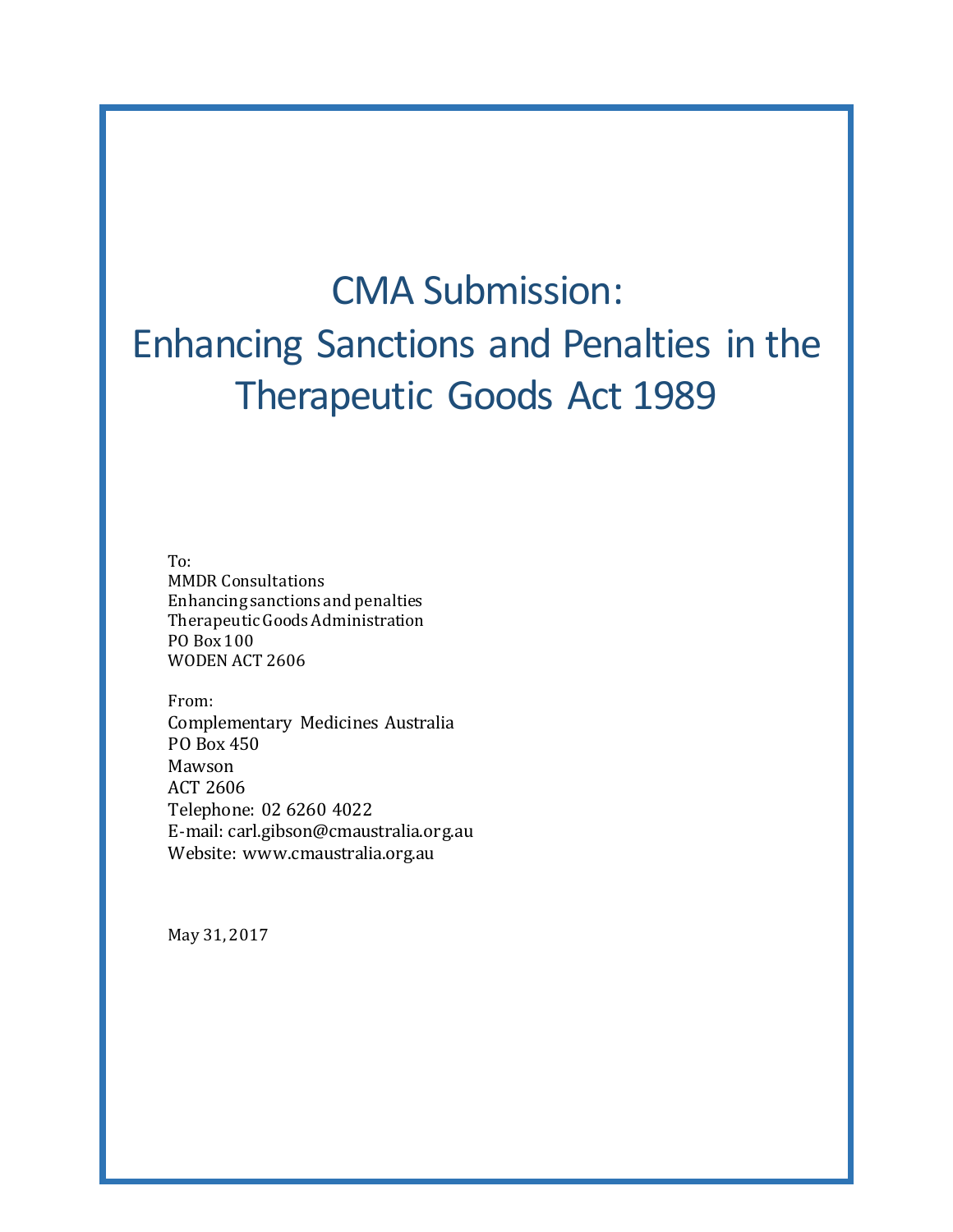# CMA Submission: Enhancing Sanctions and Penalties in the Therapeutic Goods Act 1989

To: MMDR Consultations Enhancing sanctions and penalties Therapeutic Goods Administration PO Box 100 WODEN ACT 2606

From: Complementary Medicines Australia PO Box 450 Mawson ACT 2606 Telephone: 02 6260 4022 E-mail: carl.gibson@cmaustralia.org.au Website: www.cmaustralia.org.au

May 31, 2017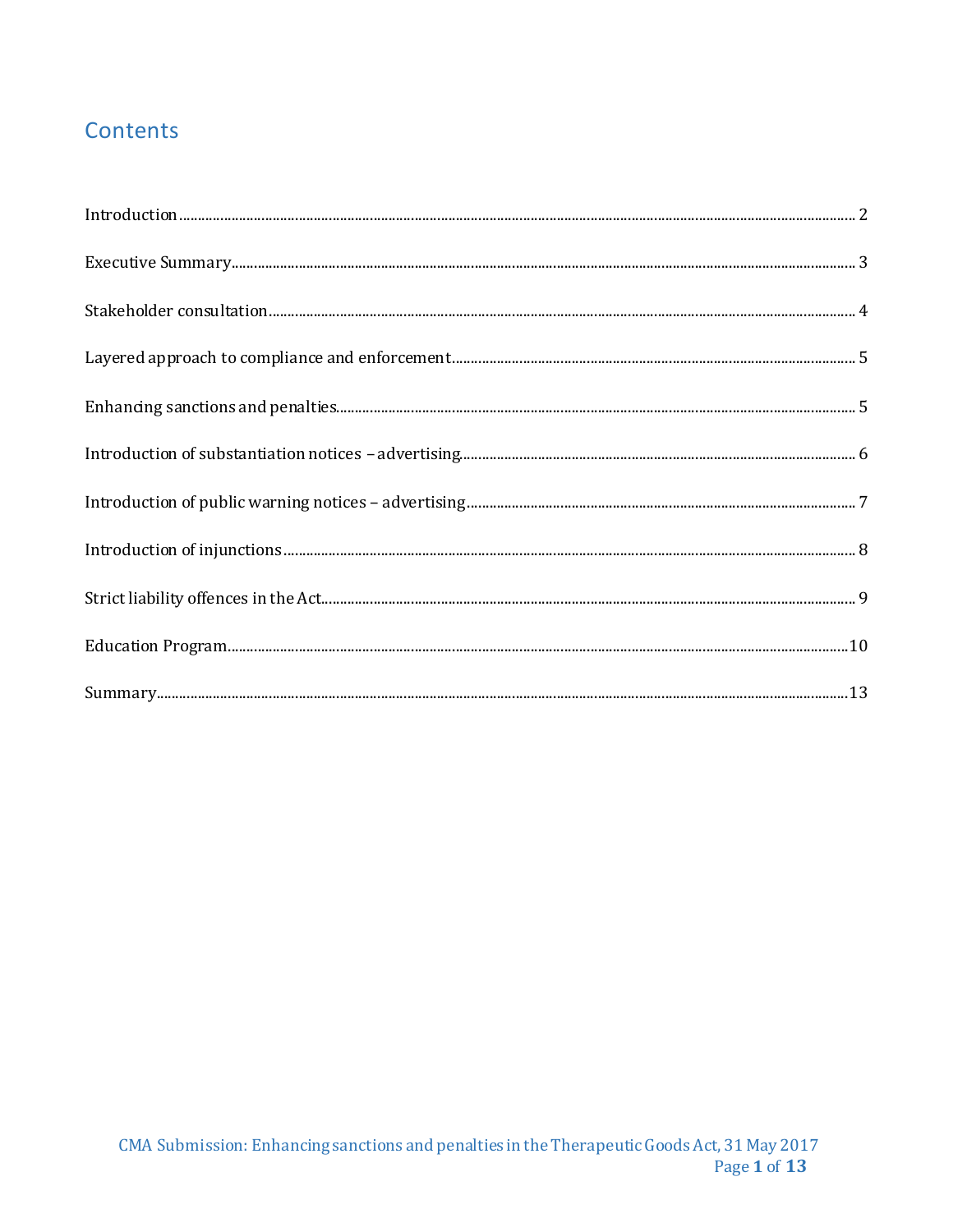# Contents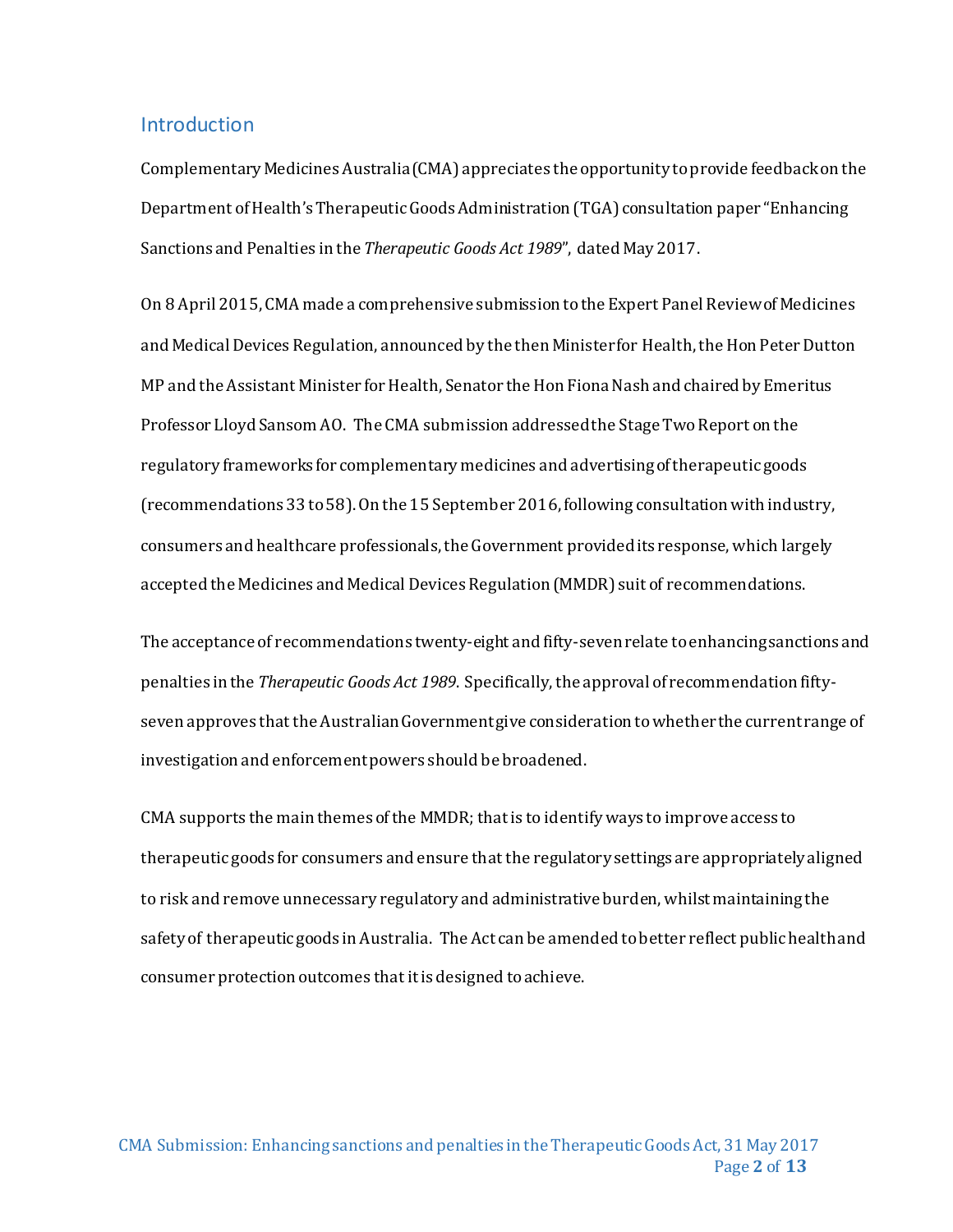#### <span id="page-2-0"></span>**Introduction**

Complementary Medicines Australia (CMA) appreciates the opportunity to provide feedback on the Department of Health's Therapeutic Goods Administration (TGA) consultation paper "Enhancing Sanctions and Penalties in the *Therapeutic Goods Act 1989*", dated May 2017.

On 8 April 2015, CMA made a comprehensive submission to the Expert Panel Review of Medicines and Medical Devices Regulation, announced by the then Minister for Health, the Hon Peter Dutton MP and the Assistant Minister for Health, Senator the Hon Fiona Nash and chaired by Emeritus Professor Lloyd Sansom AO. The CMA submission addressed the Stage Two Report on the regulatory frameworks for complementary medicines and advertising of therapeutic goods (recommendations 33 to 58).On the 15 September 2016, following consultation with industry, consumers and healthcare professionals, the Government provided its response, which largely accepted the Medicines and Medical Devices Regulation (MMDR) suit of recommendations.

The acceptance of recommendations twenty-eight and fifty-sevenrelate to enhancing sanctions and penalties in the *Therapeutic Goods Act 1989*. Specifically, the approval of recommendation fiftyseven approves that the Australian Government give consideration to whether the current range of investigation and enforcement powers should be broadened.

CMA supports the main themes of the MMDR; that is to identify ways to improve access to therapeutic goods for consumers and ensure that the regulatory settings are appropriately aligned to risk and remove unnecessary regulatory and administrative burden, whilst maintaining the safety of therapeutic goods in Australia. The Act can be amended to better reflect public health and consumer protection outcomes thatit is designed to achieve.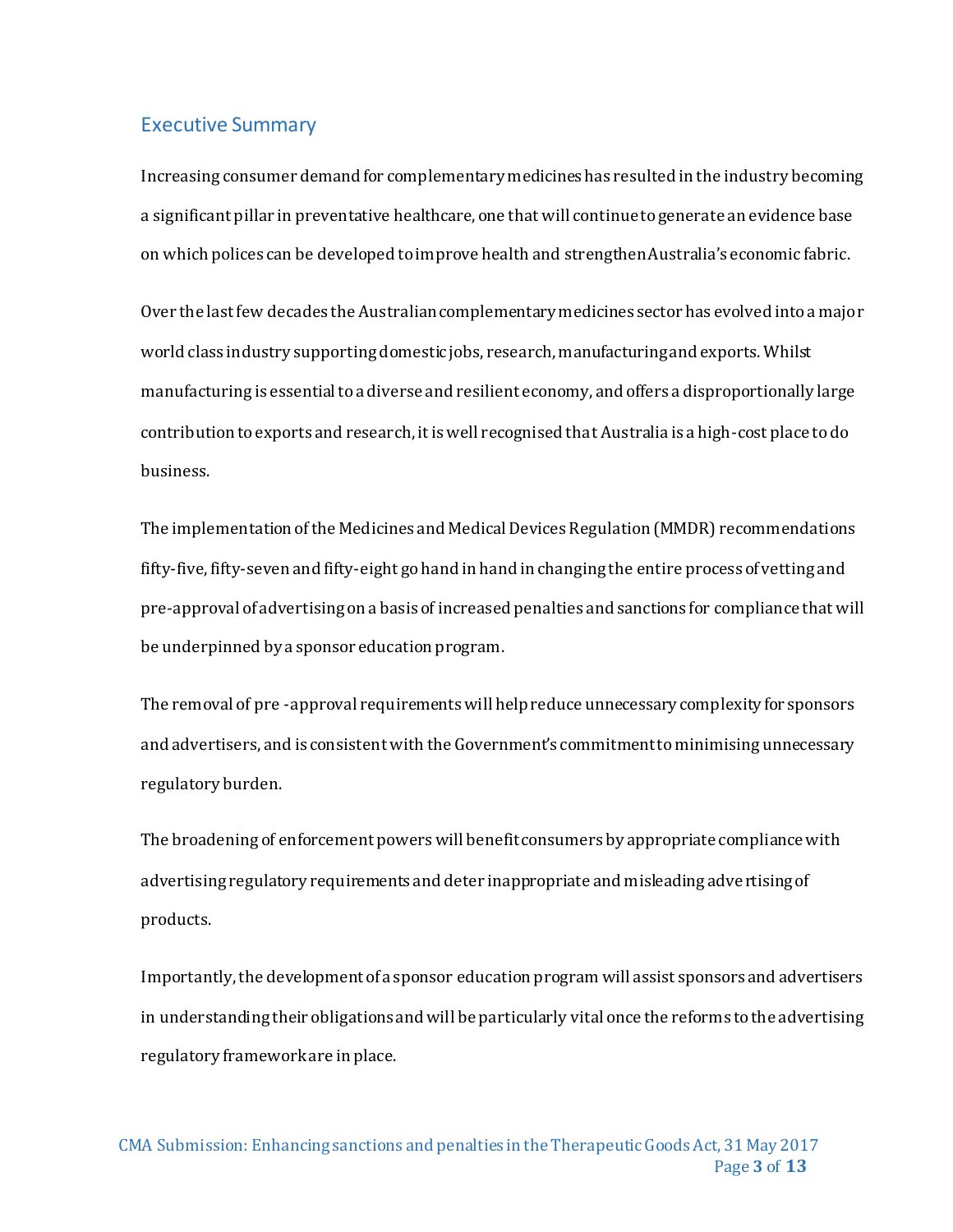#### <span id="page-3-0"></span>Executive Summary

Increasing consumer demand for complementary medicines has resulted in the industry becoming a significant pillar in preventative healthcare, one that will continue to generate an evidence base on which polices can be developed to improve health and strengthenAustralia's economic fabric.

Over the last few decades the Australian complementary medicines sector has evolved into a major world class industry supporting domestic jobs, research, manufacturing and exports. Whilst manufacturing is essential to a diverse and resilient economy, and offers a disproportionally large contribution to exports and research, it is well recognised that Australia is a high-cost place to do business.

The implementation of the Medicines and Medical Devices Regulation (MMDR) recommendations fifty-five, fifty-seven and fifty-eight go hand in hand in changing the entire process of vetting and pre-approval of advertising on a basis of increased penalties and sanctions for compliance that will be underpinned by a sponsor education program.

The removal of pre -approval requirements will help reduce unnecessary complexity for sponsors and advertisers, and is consistent with the Government's commitment to minimising unnecessary regulatory burden.

The broadening of enforcement powers will benefit consumers by appropriate compliance with advertising regulatory requirements and deter inappropriate and misleading advertising of products.

Importantly, the development of a sponsor education program will assist sponsors and advertisers in understanding their obligations and will be particularly vital once the reforms to the advertising regulatory framework are in place.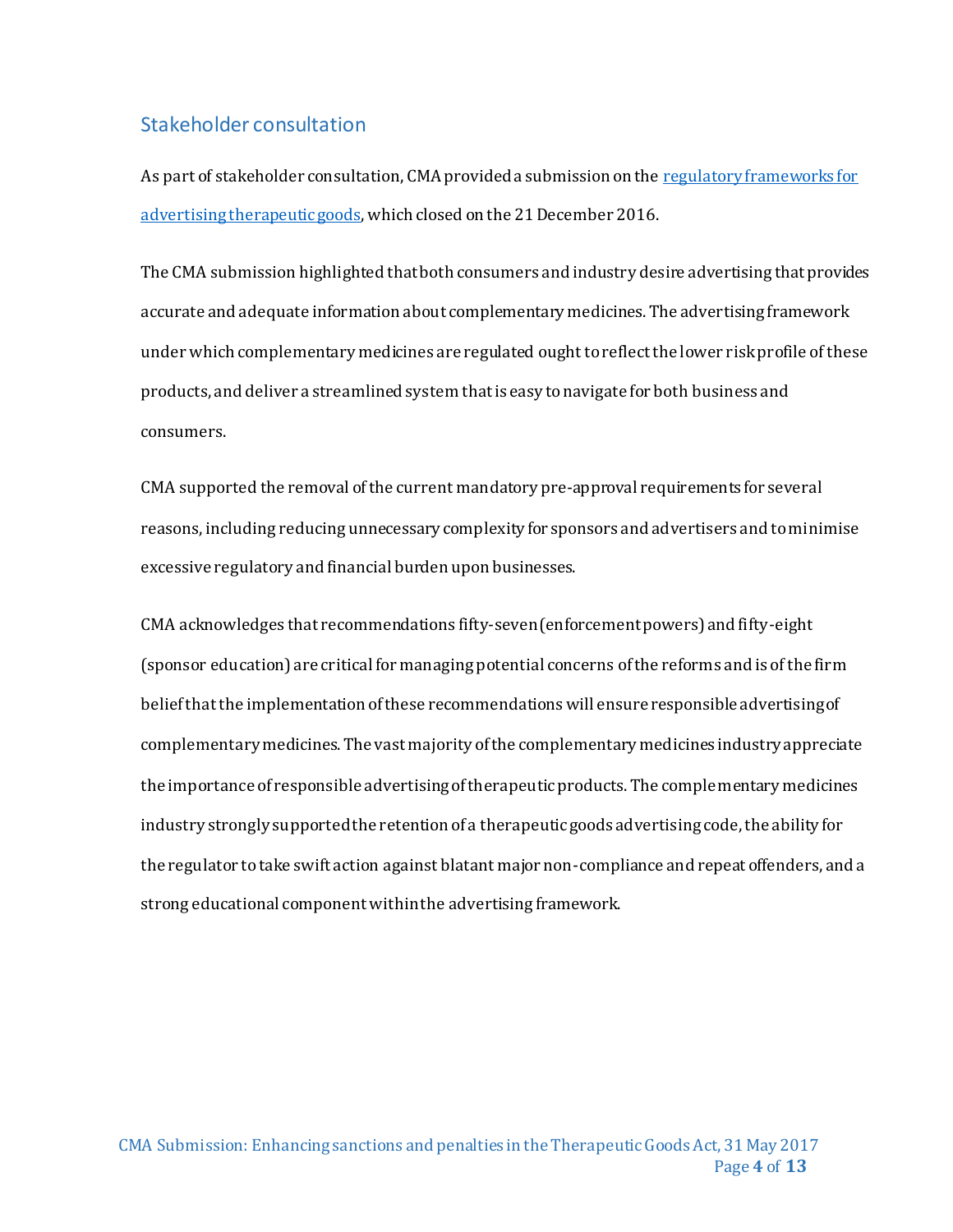#### <span id="page-4-0"></span>Stakeholder consultation

As part of stakeholder consultation, CMA provided a submission on the regulatory frameworks for [advertising therapeutic goods](https://www.tga.gov.au/consultation/consultation-regulatory-framework-advertising-therapeutic-goods-november-2016), which closed on the 21 December 2016.

The CMA submission highlighted that both consumers and industry desire advertising that provides accurate and adequate information about complementary medicines. The advertising framework under which complementary medicines are regulated ought to reflect the lower risk profile of these products, and deliver a streamlined system that is easy to navigate for both business and consumers.

CMA supported the removal of the current mandatory pre-approval requirements for several reasons, including reducing unnecessary complexity for sponsors and advertisers and to minimise excessive regulatory and financial burden upon businesses.

CMA acknowledges that recommendations fifty-seven (enforcement powers) and fifty-eight (sponsor education) are critical for managing potential concerns of the reforms and is of the firm belief that the implementation of these recommendations will ensure responsible advertising of complementary medicines. The vast majority of the complementary medicines industry appreciate the importance of responsible advertising of therapeutic products. The complementary medicines industry strongly supported the retention of a therapeutic goods advertising code, the ability for the regulator to take swift action against blatant major non-compliance and repeat offenders, and a strong educational component within the advertising framework.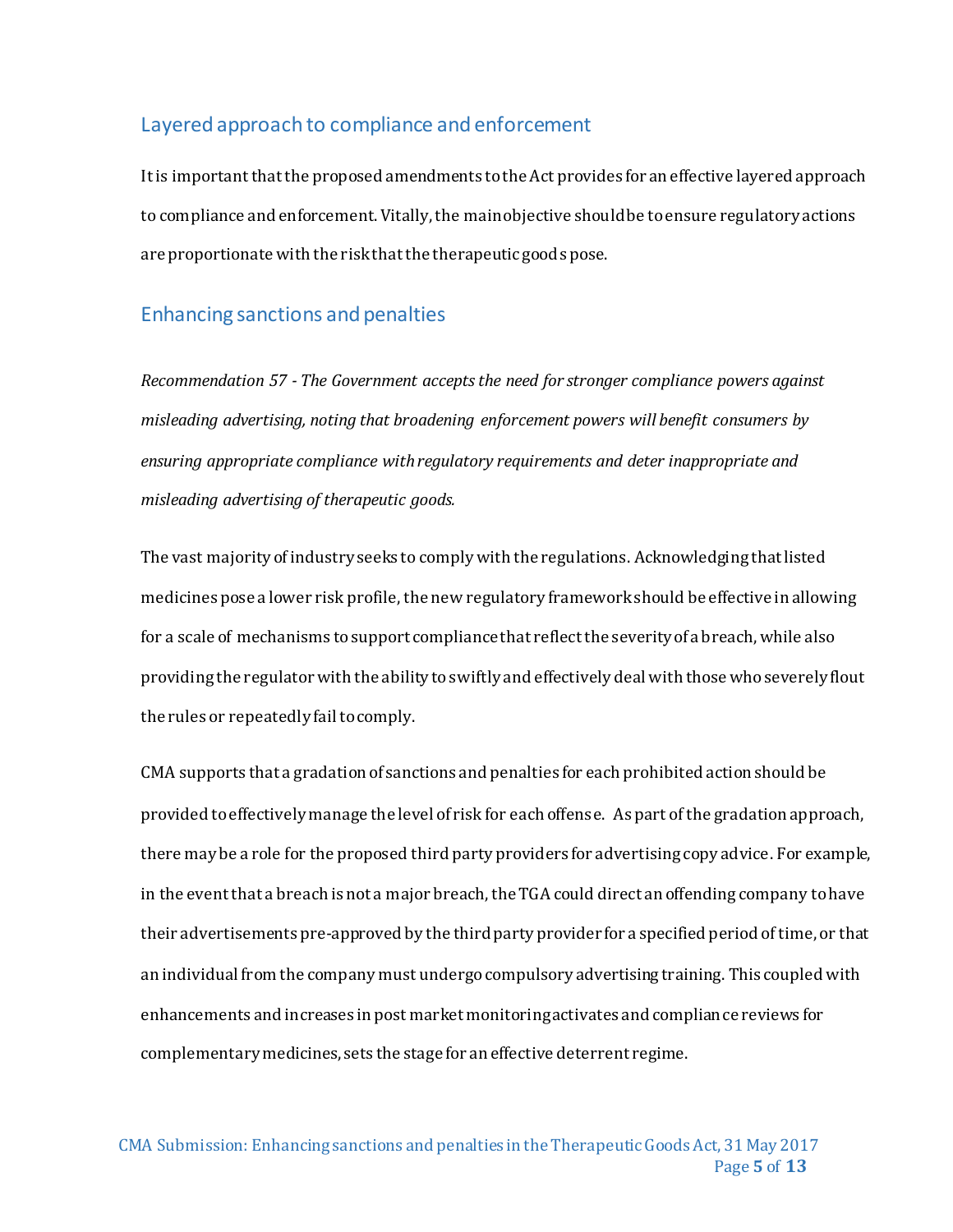#### <span id="page-5-0"></span>Layered approach to compliance and enforcement

It is important that the proposed amendments to the Act provides for an effective layered approach to compliance and enforcement. Vitally, the main objective should be to ensure regulatory actions are proportionate with the risk that the therapeutic goods pose.

#### <span id="page-5-1"></span>Enhancing sanctions and penalties

*Recommendation 57 - The Government accepts the need for stronger compliance powers against misleading advertising, noting that broadening enforcement powers will benefit consumers by ensuring appropriate compliance with regulatory requirements and deter inappropriate and misleading advertising of therapeutic goods.*

The vast majority of industry seeks to comply with the regulations. Acknowledging that listed medicines pose a lower risk profile, the new regulatory framework should be effective in allowing for a scale of mechanisms to support compliance that reflect the severity of a breach, while also providing the regulator with the ability to swiftly and effectively deal with those who severely flout the rules or repeatedly fail to comply.

CMA supports that a gradation of sanctions and penalties for each prohibited action should be provided to effectively manage the level of risk for each offense. As part of the gradation approach, there may be a role for the proposed third party providers for advertising copy advice. For example, in the event that a breach is not a major breach, the TGA could direct an offending company to have their advertisements pre-approved by the third party provider for a specified period of time, or that an individual from the company must undergo compulsory advertising training. This coupled with enhancements and increases in post market monitoring activates and compliance reviews for complementary medicines, sets the stage for an effective deterrent regime.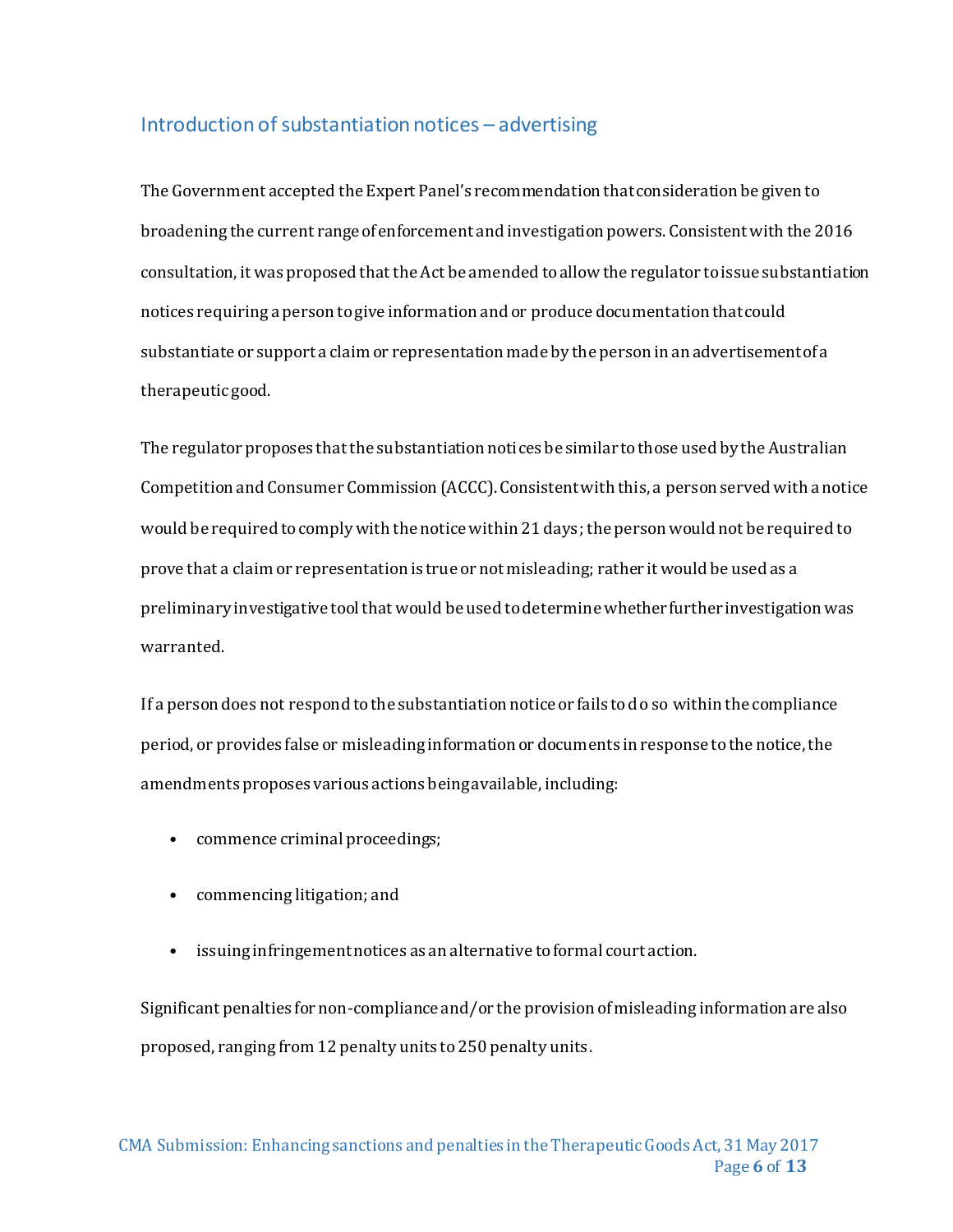# <span id="page-6-0"></span>Introduction of substantiation notices – advertising

The Government accepted the Expert Panel's recommendation that consideration be given to broadening the current range of enforcement and investigation powers. Consistent with the 2016 consultation, it was proposed that the Act be amended to allow the regulator to issue substantiation notices requiring a person to give information and or produce documentation that could substantiate or support a claim or representation made by the person in an advertisement of a therapeutic good.

The regulator proposes that the substantiation notices be similar to those used by the Australian Competition and Consumer Commission (ACCC). Consistent with this, a person served with a notice would be required to comply with the notice within 21 days; the person would not be required to prove that a claim or representation is true or not misleading; rather it would be used as a preliminary investigative tool that would be used to determine whether further investigation was warranted.

If a person does not respond to the substantiation notice or fails to do so within the compliance period, or provides false or misleading information or documents in response to the notice, the amendments proposes various actions being available, including:

- commence criminal proceedings;
- commencing litigation; and
- issuing infringement notices as an alternative to formal court action.

Significant penalties for non-compliance and/or the provision of misleading information are also proposed, ranging from 12 penalty units to 250 penalty units.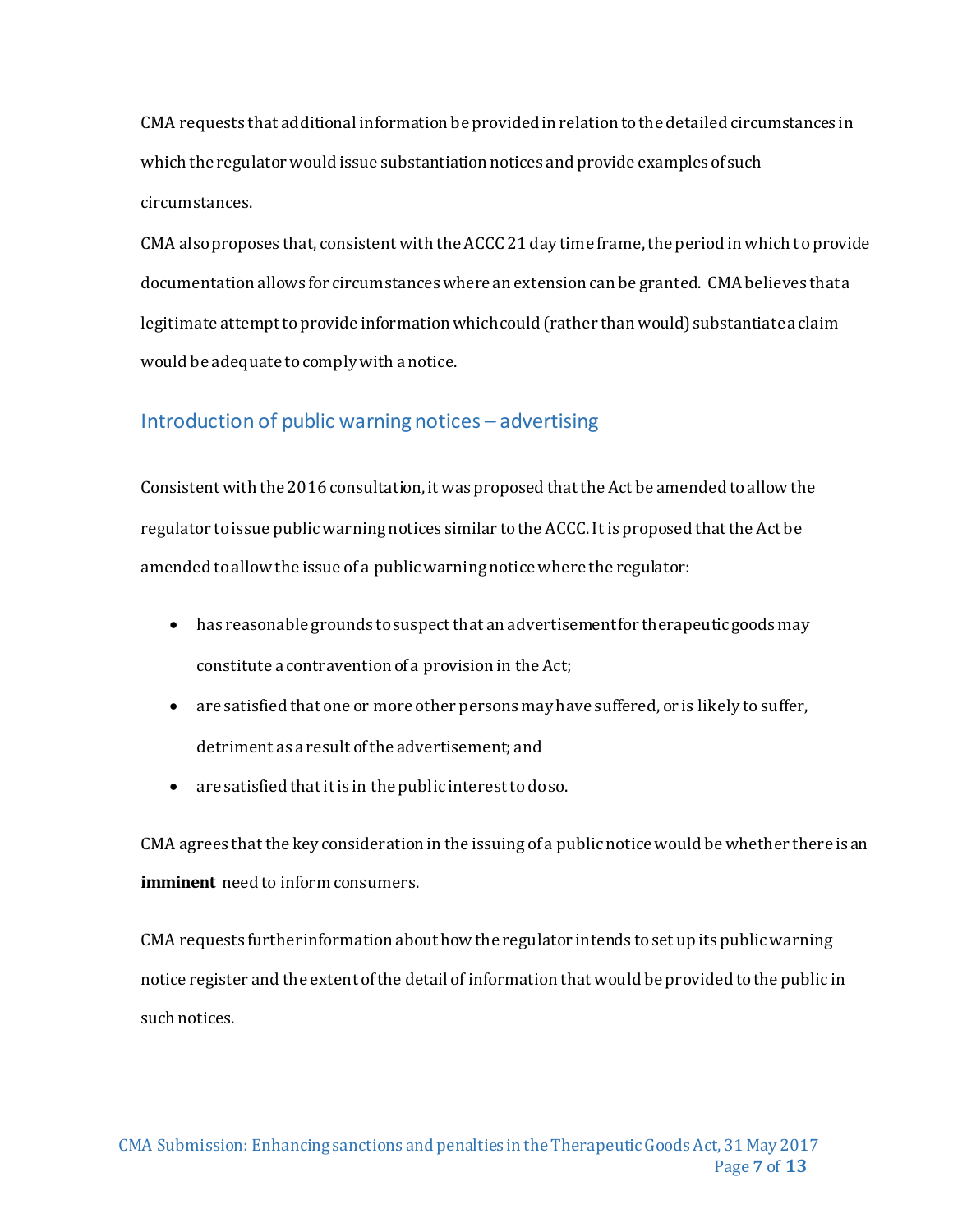CMA requests that additional information be provided in relation to the detailed circumstances in which the regulator would issue substantiation notices and provide examples of such circumstances.

CMA also proposes that, consistent with the ACCC 21 day time frame, the period in which to provide documentation allows for circumstances where an extension can be granted. CMA believes that a legitimate attempt to provide information which could (rather than would) substantiate a claim would be adequate to comply with a notice.

# <span id="page-7-0"></span>Introduction of public warning notices – advertising

Consistent with the 2016 consultation, it was proposed that the Act be amended to allow the regulator to issue public warning notices similar to the ACCC. It is proposed that the Act be amended to allow the issue of a public warning notice where the regulator:

- has reasonable grounds to suspect that an advertisement for therapeutic goods may constitute a contravention of a provision in the Act;
- are satisfied that one or more other persons may have suffered, or is likely to suffer, detriment as a result of the advertisement; and
- are satisfied that it is in the public interest to do so.

CMA agrees that the key consideration in the issuing of a public notice would be whether there is an **imminent** need to inform consumers.

CMA requests further information about how the regulator intends to set up its public warning notice register and the extent of the detail of information that would be provided to the public in such notices.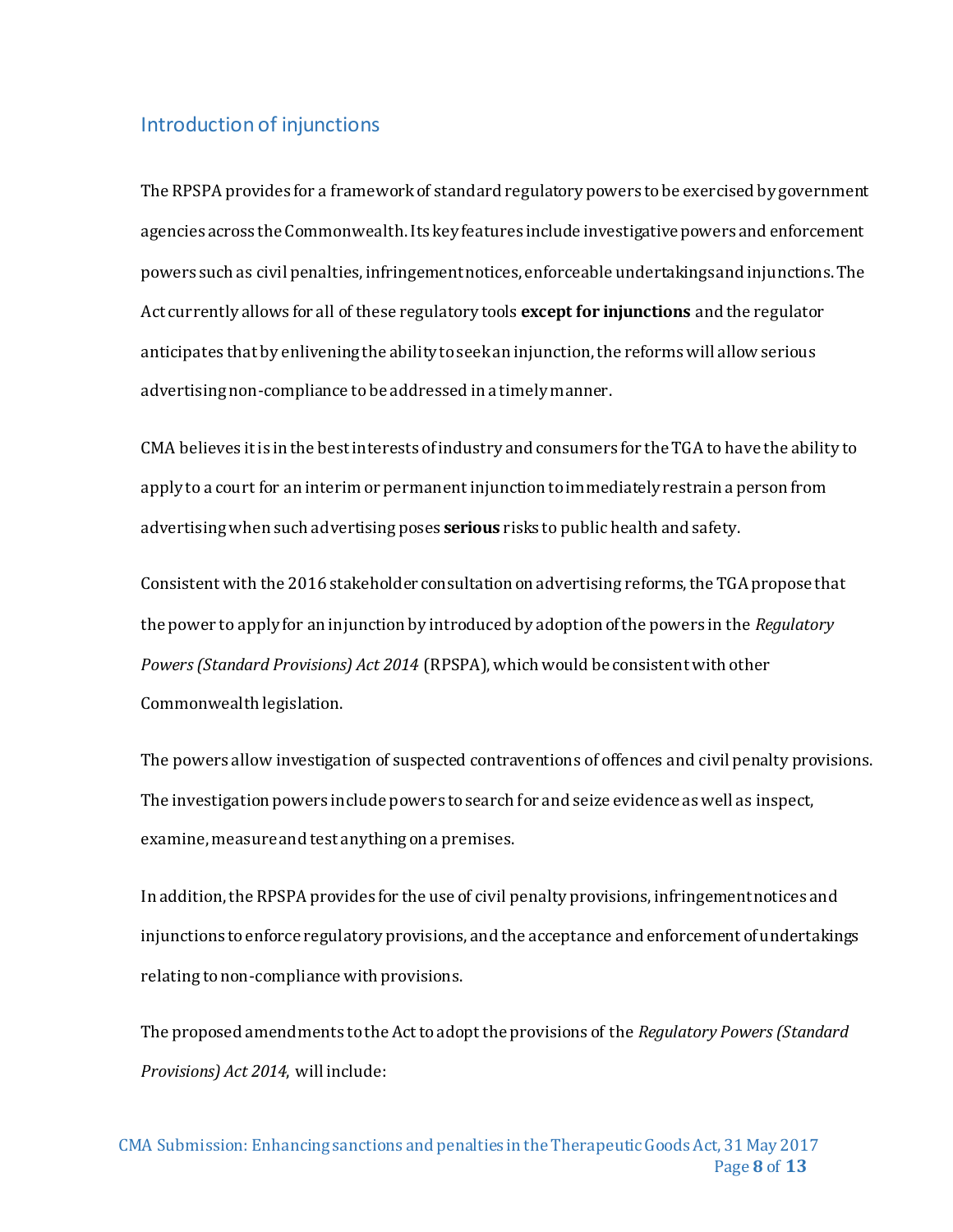#### <span id="page-8-0"></span>Introduction of injunctions

The RPSPA provides for a framework of standard regulatory powers to be exercised by government agencies across the Commonwealth. Its key features include investigative powers and enforcement powers such as civil penalties, infringement notices, enforceable undertakings and injunctions. The Act currently allows for all of these regulatory tools **except for injunctions** and the regulator anticipates that by enlivening the ability to seek an injunction, the reforms will allow serious advertising non-compliance to be addressed in a timely manner.

CMA believes it is in the best interests of industry and consumers for the TGA to have the ability to apply to a court for an interim or permanent injunction to immediately restrain a person from advertising when such advertising poses **serious** risks to public health and safety.

Consistent with the 2016 stakeholder consultation on advertising reforms, the TGA propose that the power to apply for an injunction by introduced by adoption of the powers in the *Regulatory Powers (Standard Provisions) Act 2014* (RPSPA), which would be consistent with other Commonwealth legislation.

The powers allow investigation of suspected contraventions of offences and civil penalty provisions. The investigation powers include powers to search for and seize evidence as well as inspect, examine, measure and test anything on a premises.

In addition, the RPSPA provides for the use of civil penalty provisions, infringement notices and injunctions to enforce regulatory provisions, and the acceptance and enforcement of undertakings relating to non-compliance with provisions.

The proposed amendments to the Act to adopt the provisions of the *Regulatory Powers (Standard Provisions) Act 2014*, will include: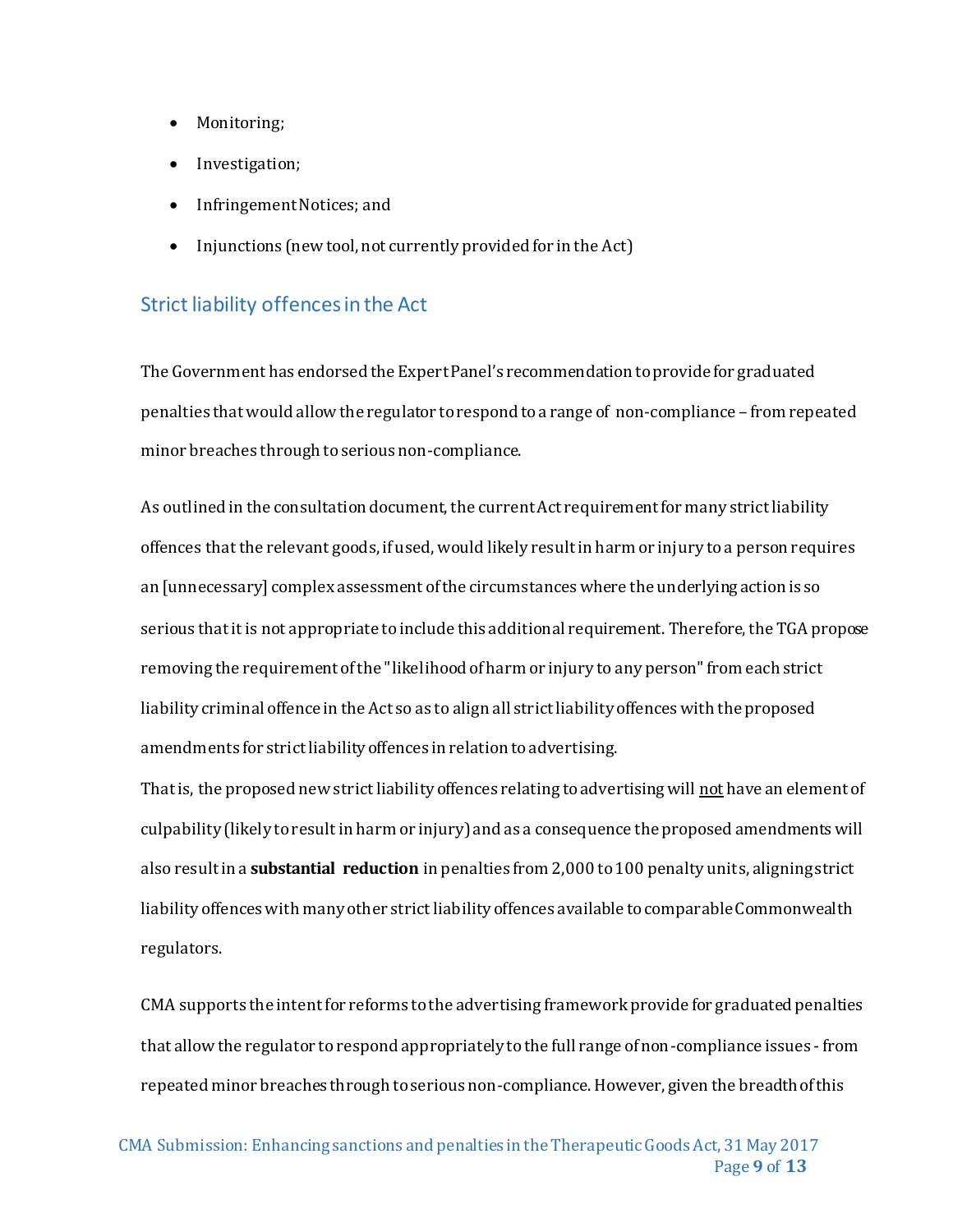- Monitoring;
- Investigation;
- Infringement Notices; and
- Injunctions (new tool, not currently provided for in the Act)

## <span id="page-9-0"></span>Strict liability offencesin the Act

The Government has endorsed the Expert Panel's recommendation to provide for graduated penalties that would allow the regulator to respond to a range of non-compliance – from repeated minor breaches through to serious non-compliance.

As outlined in the consultation document, the current Act requirement for many strict liability offences that the relevant goods, ifused,would likely result in harm or injury to a person requires an [unnecessary] complex assessment of the circumstances where the underlying action is so serious that it is not appropriate to include this additional requirement. Therefore, the TGA propose removing the requirement of the "likelihood of harm or injury to any person" from each strict liability criminal offence in the Act so as to align all strict liability offences with the proposed amendments for strict liability offences in relation to advertising.

That is, the proposed new strict liability offences relating to advertising will not have an element of culpability (likely to result in harm or injury) and as a consequence the proposed amendments will also result in a **substantial reduction** in penalties from 2,000 to 100 penalty units, aligning strict liability offences with many other strict liability offences available to comparable Commonwealth regulators.

CMA supports the intent for reforms to the advertising framework provide for graduated penalties that allow the regulator to respond appropriately to the full range of non-compliance issues - from repeated minor breaches through to serious non-compliance. However, given the breadth of this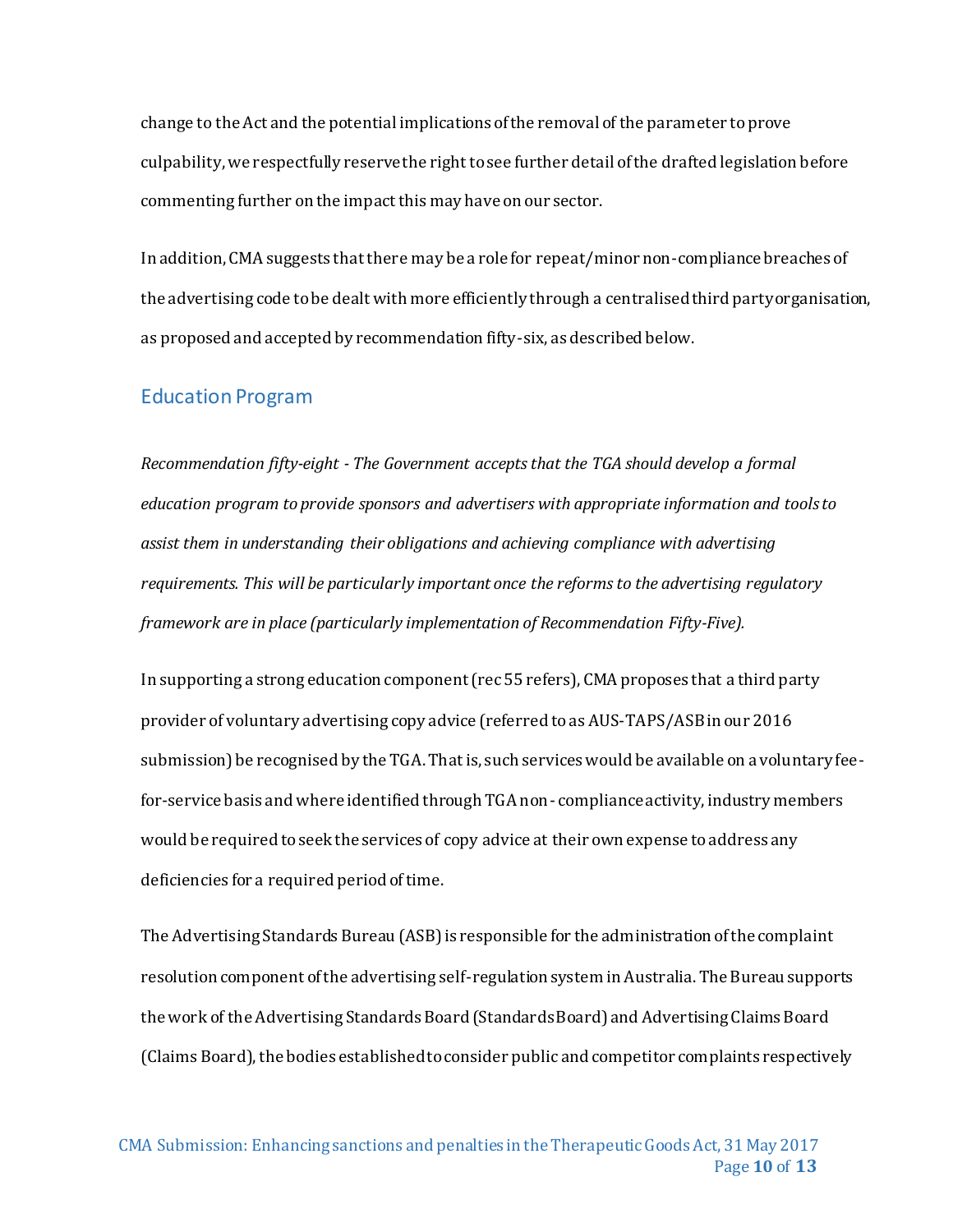change to the Act and the potential implications of the removal of the parameter to prove culpability, we respectfully reserve the right to see further detail of the drafted legislation before commenting further on the impact this may have on our sector.

In addition, CMA suggests that there may be a role for repeat/minor non-compliance breaches of the advertising code to be dealt with more efficiently through a centralisedthird party organisation, as proposed and accepted by recommendation fifty-six, as described below.

#### <span id="page-10-0"></span>Education Program

*Recommendation fifty-eight - The Government accepts that the TGA should develop a formal education program to provide sponsors and advertisers with appropriate information and tools to assist them in understanding their obligations and achieving compliance with advertising requirements. This will be particularly important once the reforms to the advertising regulatory framework are in place (particularly implementation of Recommendation Fifty-Five).*

In supporting a strong education component (rec 55 refers), CMA proposes that a third party provider of voluntary advertising copy advice (referred to as AUS-TAPS/ASBin our 2016 submission) be recognised by the TGA. That is, such services would be available on a voluntary feefor-service basis and where identified through TGA non- compliance activity, industry members would be required to seek the services of copy advice at their own expense to address any deficiencies for a required period of time.

The Advertising Standards Bureau (ASB)is responsible for the administration of the complaint resolution component of the advertising self-regulation system in Australia. The Bureau supports the work of the Advertising Standards Board (Standards Board) and Advertising Claims Board (Claims Board), the bodies established to consider public and competitor complaints respectively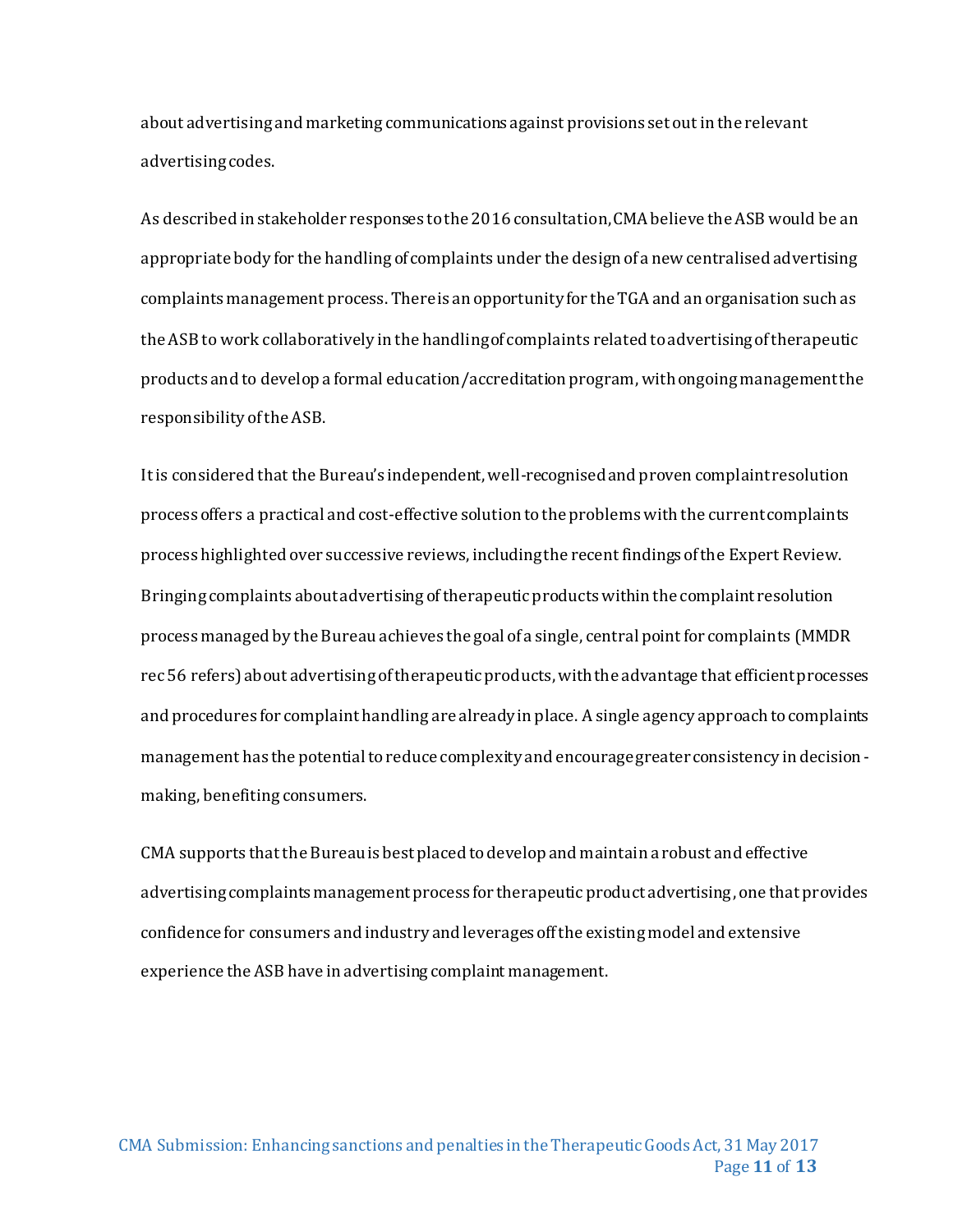about advertising and marketing communications against provisions set out in the relevant advertising codes.

As described in stakeholder responses to the 2016 consultation, CMA believe the ASB would be an appropriate body for the handling of complaints under the design of a new centralised advertising complaints management process. There is an opportunity for the TGA and an organisation such as the ASB to work collaboratively in the handling of complaints related to advertising of therapeutic products and to develop a formal education/accreditation program, with ongoing management the responsibility of the ASB.

It is considered that the Bureau's independent, well-recognised and proven complaint resolution process offers a practical and cost-effective solution to the problems with the current complaints process highlighted over successive reviews, including the recent findings of the Expert Review. Bringing complaints about advertising of therapeutic products within the complaint resolution process managed by the Bureau achieves the goal of a single, central point for complaints (MMDR rec 56 refers) about advertising of therapeutic products, with the advantage that efficient processes and procedures for complaint handling are already in place. A single agency approach to complaints management has the potential to reduce complexity and encourage greater consistency in decisionmaking, benefiting consumers.

CMA supports that the Bureau is best placed to develop and maintain a robust and effective advertising complaints management process for therapeutic product advertising, one that provides confidence for consumers and industry and leverages off the existing model and extensive experience the ASB have in advertising complaint management.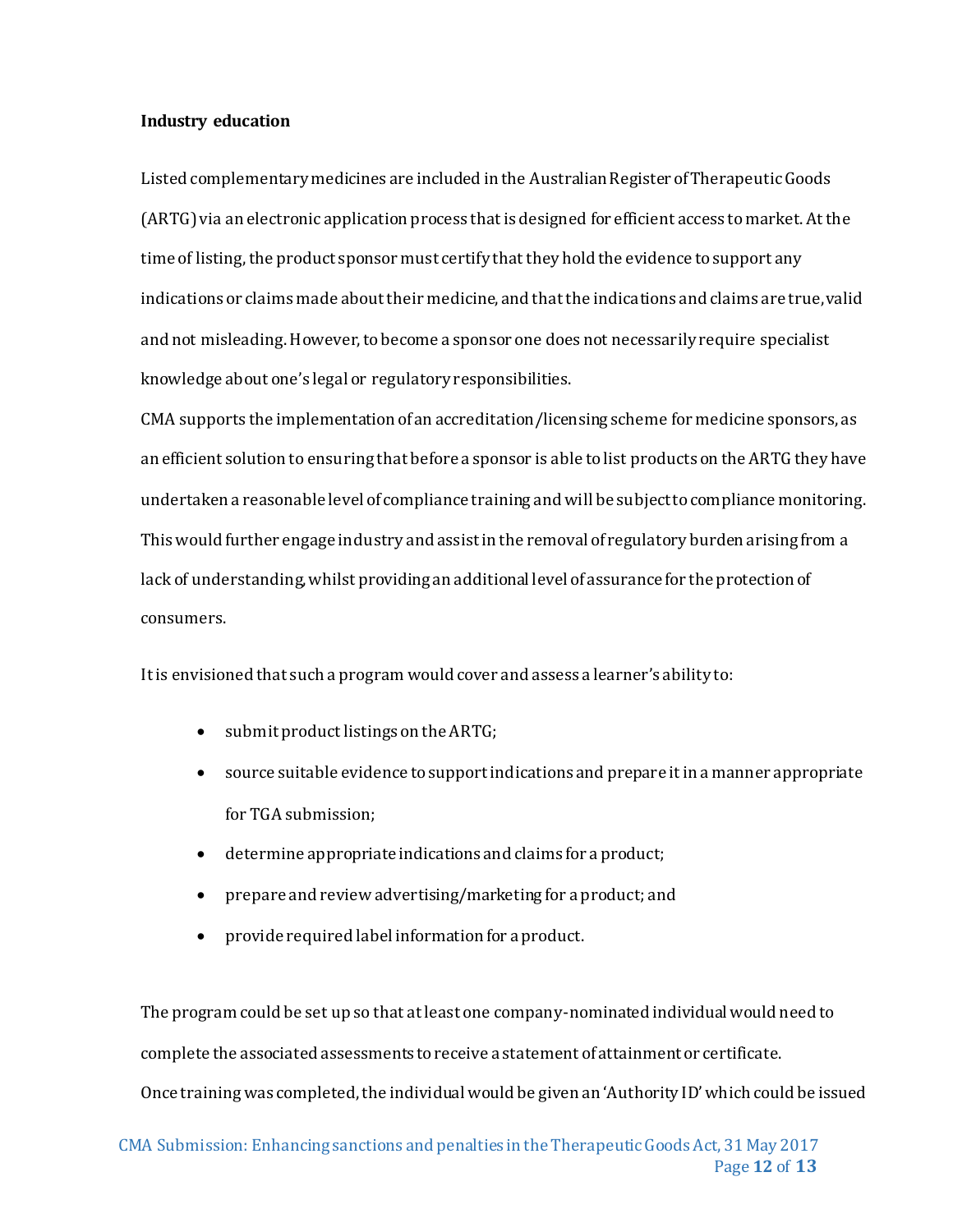#### **Industry education**

Listed complementary medicines are included in the Australian Register of Therapeutic Goods (ARTG)via an electronic application process that is designed for efficient access to market. At the time of listing, the product sponsor must certify that they hold the evidence to support any indications or claims made about their medicine, and that the indications and claims are true, valid and not misleading. However, to become a sponsor one does not necessarily require specialist knowledge about one's legal or regulatory responsibilities.

CMA supports the implementation of an accreditation/licensing scheme for medicine sponsors, as an efficient solution to ensuring that before a sponsor is able to list products on the ARTG they have undertaken a reasonable level of compliance training and will be subject to compliance monitoring. This would further engage industry and assist in the removal of regulatory burden arising from a lack of understanding, whilst providing an additional level of assurance for the protection of consumers.

It is envisioned that such a program would cover and assess a learner's ability to:

- submit product listings on the ARTG;
- source suitable evidence to support indications and prepare it in a manner appropriate for TGA submission;
- determine appropriate indications and claims for a product;
- prepare and review advertising/marketing for a product; and
- provide required label information for a product.

The program could be set up so that at least one company-nominated individual would need to complete the associated assessments to receive a statement of attainment or certificate. Once training was completed, the individual would be given an 'Authority ID' which could be issued